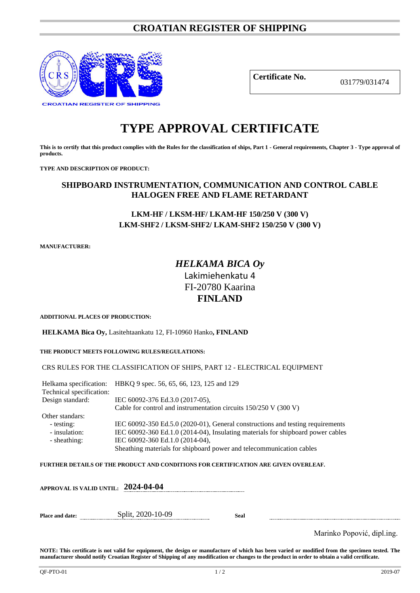# **CROATIAN REGISTER OF SHIPPING**



**Certificate No.** 031779/031474

# **TYPE APPROVAL CERTIFICATE**

**This is to certify that this product complies with the Rules for the classification of ships, Part 1 - General requirements, Chapter 3 - Type approval of products.**

**TYPE AND DESCRIPTION OF PRODUCT:** 

## **SHIPBOARD INSTRUMENTATION, COMMUNICATION AND CONTROL CABLE HALOGEN FREE AND FLAME RETARDANT**

## **LKM-HF / LKSM-HF/ LKAM-HF 150/250 V (300 V) LKM-SHF2 / LKSM-SHF2/ LKAM-SHF2 150/250 V (300 V)**

**MANUFACTURER:**

# *HELKAMA BICA Oy* Lakimiehenkatu 4 FI-20780 Kaarina **FINLAND**

**ADDITIONAL PLACES OF PRODUCTION:**

**HELKAMA Bica Oy,** Lasitehtaankatu 12, FI-10960 Hanko**, FINLAND**

#### **THE PRODUCT MEETS FOLLOWING RULES/REGULATIONS:**

#### CRS RULES FOR THE CLASSIFICATION OF SHIPS, PART 12 - ELECTRICAL EQUIPMENT

Helkama specification: HBKQ 9 spec. 56, 65, 66, 123, 125 and 129 Technical specification: Design standard: IEC 60092-376 Ed.3.0 (2017-05), Cable for control and instrumentation circuits 150/250 V (300 V) Other standars: - testing: IEC 60092-350 Ed.5.0 (2020-01), General constructions and testing requirements<br>- insulation: IEC 60092-360 Ed.1.0 (2014-04), Insulating materials for shipboard power cables IEC 60092-360 Ed.1.0 (2014-04), Insulating materials for shipboard power cables - sheathing: IEC 60092-360 Ed.1.0 (2014-04), Sheathing materials for shipboard power and telecommunication cables

**FURTHER DETAILS OF THE PRODUCT AND CONDITIONS FOR CERTIFICATION ARE GIVEN OVERLEAF.**

|                        | APPROVAL IS VALID UNTIL: 2024-04-04 |      |                            |
|------------------------|-------------------------------------|------|----------------------------|
| <b>Place and date:</b> | Split, 2020-10-09                   | Seal |                            |
|                        |                                     |      | Marinko Popović, dipl.ing. |

**NOTE: This certificate is not valid for equipment, the design or manufacture of which has been varied or modified from the specimen tested. The manufacturer should notify Croatian Register of Shipping of any modification or changes to the product in order to obtain a valid certificate.**